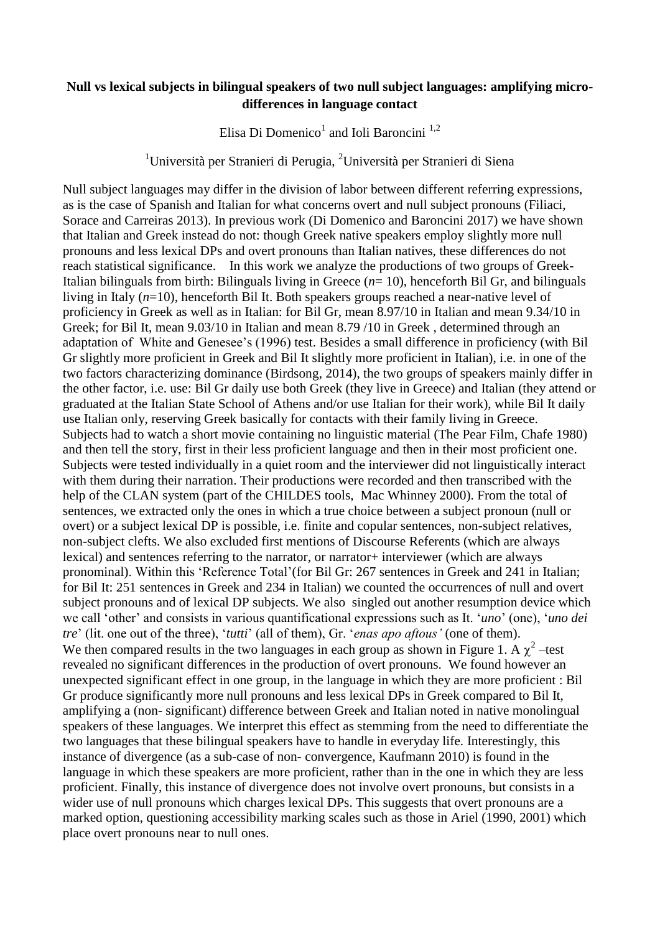## **Null vs lexical subjects in bilingual speakers of two null subject languages: amplifying microdifferences in language contact**

Elisa Di Domenico<sup>1</sup> and Ioli Baroncini<sup>1,2</sup>

<sup>1</sup>Università per Stranieri di Perugia, <sup>2</sup>Università per Stranieri di Siena

Null subject languages may differ in the division of labor between different referring expressions, as is the case of Spanish and Italian for what concerns overt and null subject pronouns (Filiaci, Sorace and Carreiras 2013). In previous work (Di Domenico and Baroncini 2017) we have shown that Italian and Greek instead do not: though Greek native speakers employ slightly more null pronouns and less lexical DPs and overt pronouns than Italian natives, these differences do not reach statistical significance. In this work we analyze the productions of two groups of Greek-Italian bilinguals from birth: Bilinguals living in Greece (*n*= 10), henceforth Bil Gr, and bilinguals living in Italy (*n*=10), henceforth Bil It. Both speakers groups reached a near-native level of proficiency in Greek as well as in Italian: for Bil Gr, mean 8.97/10 in Italian and mean 9.34/10 in Greek; for Bil It, mean 9.03/10 in Italian and mean 8.79 /10 in Greek , determined through an adaptation of White and Genesee's (1996) test. Besides a small difference in proficiency (with Bil Gr slightly more proficient in Greek and Bil It slightly more proficient in Italian), i.e. in one of the two factors characterizing dominance (Birdsong, 2014), the two groups of speakers mainly differ in the other factor, i.e. use: Bil Gr daily use both Greek (they live in Greece) and Italian (they attend or graduated at the Italian State School of Athens and/or use Italian for their work), while Bil It daily use Italian only, reserving Greek basically for contacts with their family living in Greece. Subjects had to watch a short movie containing no linguistic material (The Pear Film, Chafe 1980) and then tell the story, first in their less proficient language and then in their most proficient one. Subjects were tested individually in a quiet room and the interviewer did not linguistically interact with them during their narration. Their productions were recorded and then transcribed with the help of the CLAN system (part of the CHILDES tools, Mac Whinney 2000). From the total of sentences, we extracted only the ones in which a true choice between a subject pronoun (null or overt) or a subject lexical DP is possible, i.e. finite and copular sentences, non-subject relatives, non-subject clefts. We also excluded first mentions of Discourse Referents (which are always lexical) and sentences referring to the narrator, or narrator+ interviewer (which are always pronominal). Within this 'Reference Total'(for Bil Gr: 267 sentences in Greek and 241 in Italian; for Bil It: 251 sentences in Greek and 234 in Italian) we counted the occurrences of null and overt subject pronouns and of lexical DP subjects. We also singled out another resumption device which we call 'other' and consists in various quantificational expressions such as It. '*uno*' (one), '*uno dei tre*' (lit. one out of the three), '*tutti*' (all of them), Gr. '*enas apo aftous'* (one of them). We then compared results in the two languages in each group as shown in Figure 1. A  $\chi^2$  –test revealed no significant differences in the production of overt pronouns. We found however an unexpected significant effect in one group, in the language in which they are more proficient : Bil Gr produce significantly more null pronouns and less lexical DPs in Greek compared to Bil It, amplifying a (non- significant) difference between Greek and Italian noted in native monolingual speakers of these languages. We interpret this effect as stemming from the need to differentiate the two languages that these bilingual speakers have to handle in everyday life. Interestingly, this instance of divergence (as a sub-case of non- convergence, Kaufmann 2010) is found in the language in which these speakers are more proficient, rather than in the one in which they are less proficient. Finally, this instance of divergence does not involve overt pronouns, but consists in a wider use of null pronouns which charges lexical DPs. This suggests that overt pronouns are a marked option, questioning accessibility marking scales such as those in Ariel (1990, 2001) which place overt pronouns near to null ones.